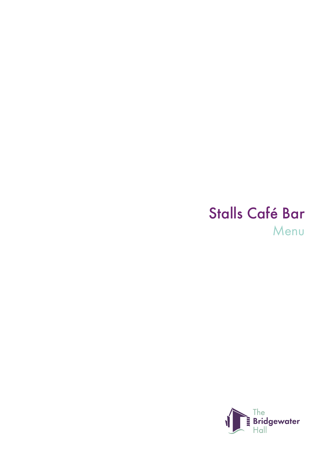# Stalls Café Bar Menu

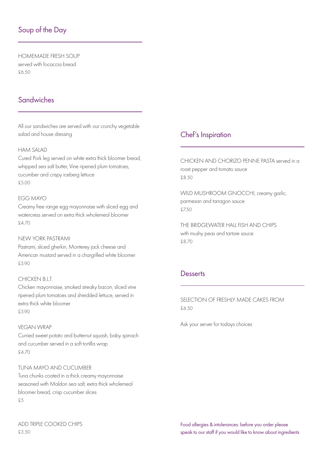# Soup of the Day

HOMEMADE FRESH SOUP served with focaccia bread £6.50

# **Sandwiches**

All our sandwiches are served with our crunchy vegetable salad and house dressing

### HAM SALAD

Cured Pork leg served on white extra thick bloomer bread, whipped sea salt butter, Vine ripened plum tomatoes, cucumber and crispy iceberg lettuce £5.00

## EGG MAYO

Creamy free range egg mayonnaise with sliced egg and watercress served on extra thick wholemeal bloomer £4.70

#### NEW YORK PASTRAMI

Pastrami, sliced gherkin, Monterey jack cheese and American mustard served in a chargrilled white bloomer £5.90

### CHICKEN B I T

Chicken mayonnaise, smoked streaky bacon, sliced vine ripened plum tomatoes and shredded lettuce, served in extra thick white bloomer £5.90

#### VEGAN WRAP

Curried sweet potato and butternut squash, baby spinach and cucumber served in a soft tortilla wrap £4.70

## TUNA MAYO AND CUCUMBER

Tuna chunks coated in a thick creamy mayonnaise seasoned with Maldon sea salt, extra thick wholemeal bloomer bread, crisp cucumber slices £5

## ADD TRIPLE COOKED CHIPS £3.50

# Chef's Inspiration

CHICKEN AND CHORIZO PENNE PASTA served in a roast pepper and tomato sauce £8.50

WILD MUSHROOM GNOCCHI, creamy garlic, parmesan and tarragon sauce £7.50

THE BRIDGEWATER HALL FISH AND CHIPS with mushy peas and tartare sauce £8.70

## **Desserts**

SELECTION OF FRESHLY MADE CAKES FROM £4.50

Ask your server for todays choices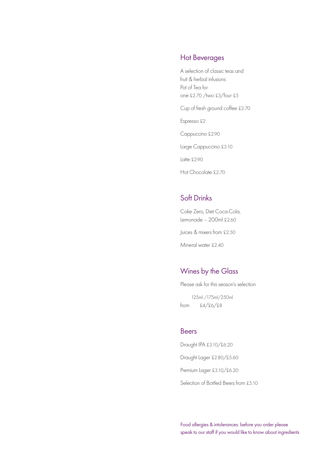## Hot Beverages

A selection of classic teas and fruit & herbal infusions Pot of Tea for one £2.70 /two £3/four £5

Cup of fresh ground coffee £2.70

Espresso £2

Cappuccino £2.90

Large Cappuccino £3.10

Latte £2.90

Hot Chocolate £2.70

## Soft Drinks

Coke Zero, Diet Coca-Cola, Lemonade – 200ml £2.60

Juices & mixers from £2.50

Mineral water £2.40

## Wines by the Glass

Please ask for this season's selection

 125ml /175ml/250ml from £4/£6/£8

## Beers

Draught IPA £3.10/£6.20 Draught Lager £2.80/£5.60 Premium Lager £3.10/£6.20 Selection of Bottled Beers from £5.10

Food allergies & intolerances: before you order please speak to our staff if you would like to know about ingredients